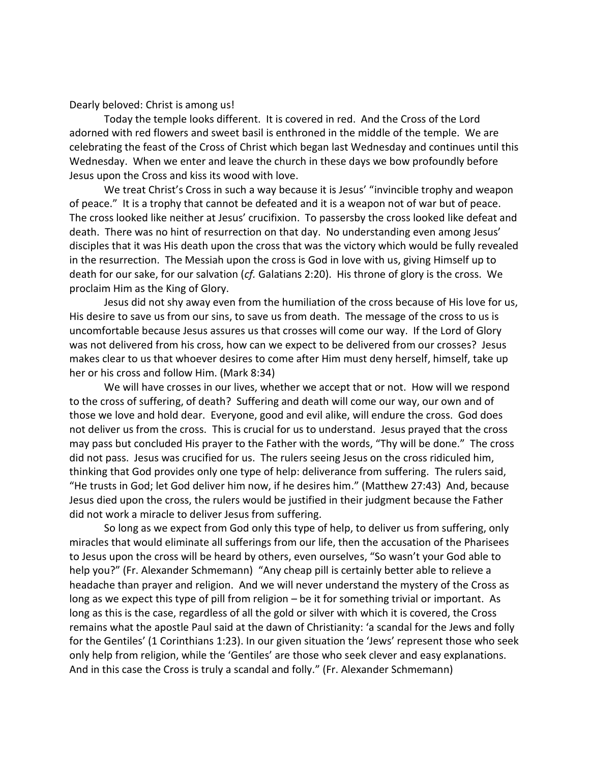Dearly beloved: Christ is among us!

Today the temple looks different. It is covered in red. And the Cross of the Lord adorned with red flowers and sweet basil is enthroned in the middle of the temple. We are celebrating the feast of the Cross of Christ which began last Wednesday and continues until this Wednesday. When we enter and leave the church in these days we bow profoundly before Jesus upon the Cross and kiss its wood with love.

We treat Christ's Cross in such a way because it is Jesus' "invincible trophy and weapon of peace." It is a trophy that cannot be defeated and it is a weapon not of war but of peace. The cross looked like neither at Jesus' crucifixion. To passersby the cross looked like defeat and death. There was no hint of resurrection on that day. No understanding even among Jesus' disciples that it was His death upon the cross that was the victory which would be fully revealed in the resurrection. The Messiah upon the cross is God in love with us, giving Himself up to death for our sake, for our salvation (*cf.* Galatians 2:20). His throne of glory is the cross. We proclaim Him as the King of Glory.

Jesus did not shy away even from the humiliation of the cross because of His love for us, His desire to save us from our sins, to save us from death. The message of the cross to us is uncomfortable because Jesus assures us that crosses will come our way. If the Lord of Glory was not delivered from his cross, how can we expect to be delivered from our crosses? Jesus makes clear to us that whoever desires to come after Him must deny herself, himself, take up her or his cross and follow Him. (Mark 8:34)

We will have crosses in our lives, whether we accept that or not. How will we respond to the cross of suffering, of death? Suffering and death will come our way, our own and of those we love and hold dear. Everyone, good and evil alike, will endure the cross. God does not deliver us from the cross. This is crucial for us to understand. Jesus prayed that the cross may pass but concluded His prayer to the Father with the words, "Thy will be done." The cross did not pass. Jesus was crucified for us. The rulers seeing Jesus on the cross ridiculed him, thinking that God provides only one type of help: deliverance from suffering. The rulers said, "He trusts in God; let God deliver him now, if he desires him." (Matthew 27:43) And, because Jesus died upon the cross, the rulers would be justified in their judgment because the Father did not work a miracle to deliver Jesus from suffering.

So long as we expect from God only this type of help, to deliver us from suffering, only miracles that would eliminate all sufferings from our life, then the accusation of the Pharisees to Jesus upon the cross will be heard by others, even ourselves, "So wasn't your God able to help you?" (Fr. Alexander Schmemann) "Any cheap pill is certainly better able to relieve a headache than prayer and religion. And we will never understand the mystery of the Cross as long as we expect this type of pill from religion – be it for something trivial or important. As long as this is the case, regardless of all the gold or silver with which it is covered, the Cross remains what the apostle Paul said at the dawn of Christianity: 'a scandal for the Jews and folly for the Gentiles' (1 Corinthians 1:23). In our given situation the 'Jews' represent those who seek only help from religion, while the 'Gentiles' are those who seek clever and easy explanations. And in this case the Cross is truly a scandal and folly." (Fr. Alexander Schmemann)